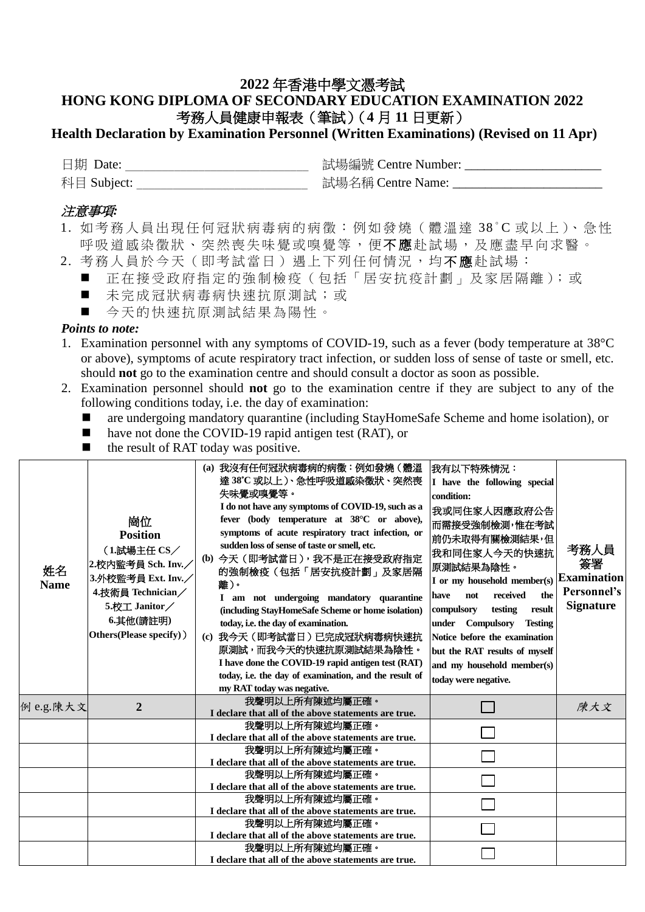## **2022** 年香港中學文憑考試 **HONG KONG DIPLOMA OF SECONDARY EDUCATION EXAMINATION 2022** 考務人員健康申報表(筆試)(**4** 月 **11** 日更新)

## **Health Declaration by Examination Personnel (Written Examinations) (Revised on 11 Apr)**

| 日期 Date:    | 試場編號 Centre Number: |
|-------------|---------------------|
| 科目 Subject: | 試場名稱 Centre Name:   |

## 注意事項*:*

- 1. 如考務人員出現任何冠狀病毒病的病徵:例如發燒(體溫達 38°C 或以上)、急性 呼吸道感染徵狀、突然喪失味覺或嗅覺等,便不應赴試場,及應盡早向求醫。
- 2. 考務人員於今天(即考試當日)遇上下列任何情況,均不應赴試場:
	- 正在接受政府指定的強制檢疫 (包括「居安抗疫計劃」及家居隔離);或
	- 未完成冠狀病毒病快速抗原測試;或
	- 今天的快速抗原測試結果為陽性。

## *Points to note:*

- 1. Examination personnel with any symptoms of COVID-19, such as a fever (body temperature at 38°C or above), symptoms of acute respiratory tract infection, or sudden loss of sense of taste or smell, etc. should **not** go to the examination centre and should consult a doctor as soon as possible.
- 2. Examination personnel should **not** go to the examination centre if they are subject to any of the following conditions today, i.e. the day of examination:
	- are undergoing mandatory quarantine (including StayHomeSafe Scheme and home isolation), or
	- have not done the COVID-19 rapid antigen test (RAT), or
	- the result of RAT today was positive.

| 我聲明以上所有陳述均屬正確。<br>陳大文<br>例 e.g.陳大文<br>$\mathbf{2}$<br>I declare that all of the above statements are true.<br>我聲明以上所有陳述均屬正確。<br>I declare that all of the above statements are true.<br>我聲明以上所有陳述均屬正確。<br>I declare that all of the above statements are true.<br>我聲明以上所有陳述均屬正確。<br>I declare that all of the above statements are true.<br>我聲明以上所有陳述均屬正確。<br>I declare that all of the above statements are true.<br>我聲明以上所有陳述均屬正確。<br>I declare that all of the above statements are true.<br>我聲明以上所有陳述均屬正確。 | 姓名<br><b>Name</b> | 崗位<br><b>Position</b><br>(1.試場主任 CS/<br>2.校内監考員 Sch. Inv.<br>3.外校監考員 Ext. Inv.<br>4.技術員 Technician/<br>5.校工 Janitor/<br>6.其他(請註明)<br>Others(Please specify)) | (a) 我沒有任何冠狀病毒病的病徵:例如發燒 (體溫<br>達 38°C 或以上 )、急性呼吸道感染徵狀、突然喪<br>失味覺或嗅覺等。<br>I do not have any symptoms of COVID-19, such as a<br>fever (body temperature at 38°C or above),<br>symptoms of acute respiratory tract infection, or<br>sudden loss of sense of taste or smell, etc.<br>(b) 今天 (即考試當日), 我不是正在接受政府指定<br>的強制檢疫(包括「居安抗疫計劃」及家居隔<br>離)。<br>I am not undergoing mandatory quarantine<br>(including StayHomeSafe Scheme or home isolation)<br>today, i.e. the day of examination.<br>(c) 我今天 (即考試當日) 已完成冠狀病毒病快速抗<br>原測試,而我今天的快速抗原測試結果為陰性。<br>I have done the COVID-19 rapid antigen test (RAT)<br>today, i.e. the day of examination, and the result of<br>my RAT today was negative. | 我有以下特殊情況:<br>I have the following special<br>condition:<br>我或同住家人因應政府公告<br>而需接受強制檢測,惟在考試<br>前仍未取得有關檢測結果,但<br>我和同住家人今天的快速抗<br>原測試結果為陰性。<br>I or my household member(s) $ \text{Examination}$<br>received<br>the<br>not<br>have<br>compulsory<br>testing<br>result<br>under<br><b>Compulsory</b><br><b>Testing</b><br>Notice before the examination<br>but the RAT results of myself<br>and my household member(s)<br>today were negative. | 考務人員<br>簽署<br>Personnel's<br><b>Signature</b> |
|----------------------------------------------------------------------------------------------------------------------------------------------------------------------------------------------------------------------------------------------------------------------------------------------------------------------------------------------------------------------------------------------------------------------------------------------------------------------------------------------------------------|-------------------|--------------------------------------------------------------------------------------------------------------------------------------------------------------|----------------------------------------------------------------------------------------------------------------------------------------------------------------------------------------------------------------------------------------------------------------------------------------------------------------------------------------------------------------------------------------------------------------------------------------------------------------------------------------------------------------------------------------------------------------------------------------------------------------------------------------------------------------------------------------|------------------------------------------------------------------------------------------------------------------------------------------------------------------------------------------------------------------------------------------------------------------------------------------------------------------------------------------------------------------------------------------------------------------------------------------|-----------------------------------------------|
|                                                                                                                                                                                                                                                                                                                                                                                                                                                                                                                |                   |                                                                                                                                                              |                                                                                                                                                                                                                                                                                                                                                                                                                                                                                                                                                                                                                                                                                        |                                                                                                                                                                                                                                                                                                                                                                                                                                          |                                               |
|                                                                                                                                                                                                                                                                                                                                                                                                                                                                                                                |                   |                                                                                                                                                              |                                                                                                                                                                                                                                                                                                                                                                                                                                                                                                                                                                                                                                                                                        |                                                                                                                                                                                                                                                                                                                                                                                                                                          |                                               |
|                                                                                                                                                                                                                                                                                                                                                                                                                                                                                                                |                   |                                                                                                                                                              |                                                                                                                                                                                                                                                                                                                                                                                                                                                                                                                                                                                                                                                                                        |                                                                                                                                                                                                                                                                                                                                                                                                                                          |                                               |
|                                                                                                                                                                                                                                                                                                                                                                                                                                                                                                                |                   |                                                                                                                                                              |                                                                                                                                                                                                                                                                                                                                                                                                                                                                                                                                                                                                                                                                                        |                                                                                                                                                                                                                                                                                                                                                                                                                                          |                                               |
|                                                                                                                                                                                                                                                                                                                                                                                                                                                                                                                |                   |                                                                                                                                                              |                                                                                                                                                                                                                                                                                                                                                                                                                                                                                                                                                                                                                                                                                        |                                                                                                                                                                                                                                                                                                                                                                                                                                          |                                               |
|                                                                                                                                                                                                                                                                                                                                                                                                                                                                                                                |                   |                                                                                                                                                              |                                                                                                                                                                                                                                                                                                                                                                                                                                                                                                                                                                                                                                                                                        |                                                                                                                                                                                                                                                                                                                                                                                                                                          |                                               |
|                                                                                                                                                                                                                                                                                                                                                                                                                                                                                                                |                   |                                                                                                                                                              |                                                                                                                                                                                                                                                                                                                                                                                                                                                                                                                                                                                                                                                                                        |                                                                                                                                                                                                                                                                                                                                                                                                                                          |                                               |
|                                                                                                                                                                                                                                                                                                                                                                                                                                                                                                                |                   |                                                                                                                                                              |                                                                                                                                                                                                                                                                                                                                                                                                                                                                                                                                                                                                                                                                                        |                                                                                                                                                                                                                                                                                                                                                                                                                                          |                                               |
|                                                                                                                                                                                                                                                                                                                                                                                                                                                                                                                |                   |                                                                                                                                                              |                                                                                                                                                                                                                                                                                                                                                                                                                                                                                                                                                                                                                                                                                        |                                                                                                                                                                                                                                                                                                                                                                                                                                          |                                               |
|                                                                                                                                                                                                                                                                                                                                                                                                                                                                                                                |                   |                                                                                                                                                              |                                                                                                                                                                                                                                                                                                                                                                                                                                                                                                                                                                                                                                                                                        |                                                                                                                                                                                                                                                                                                                                                                                                                                          |                                               |
|                                                                                                                                                                                                                                                                                                                                                                                                                                                                                                                |                   |                                                                                                                                                              | I declare that all of the above statements are true.                                                                                                                                                                                                                                                                                                                                                                                                                                                                                                                                                                                                                                   |                                                                                                                                                                                                                                                                                                                                                                                                                                          |                                               |